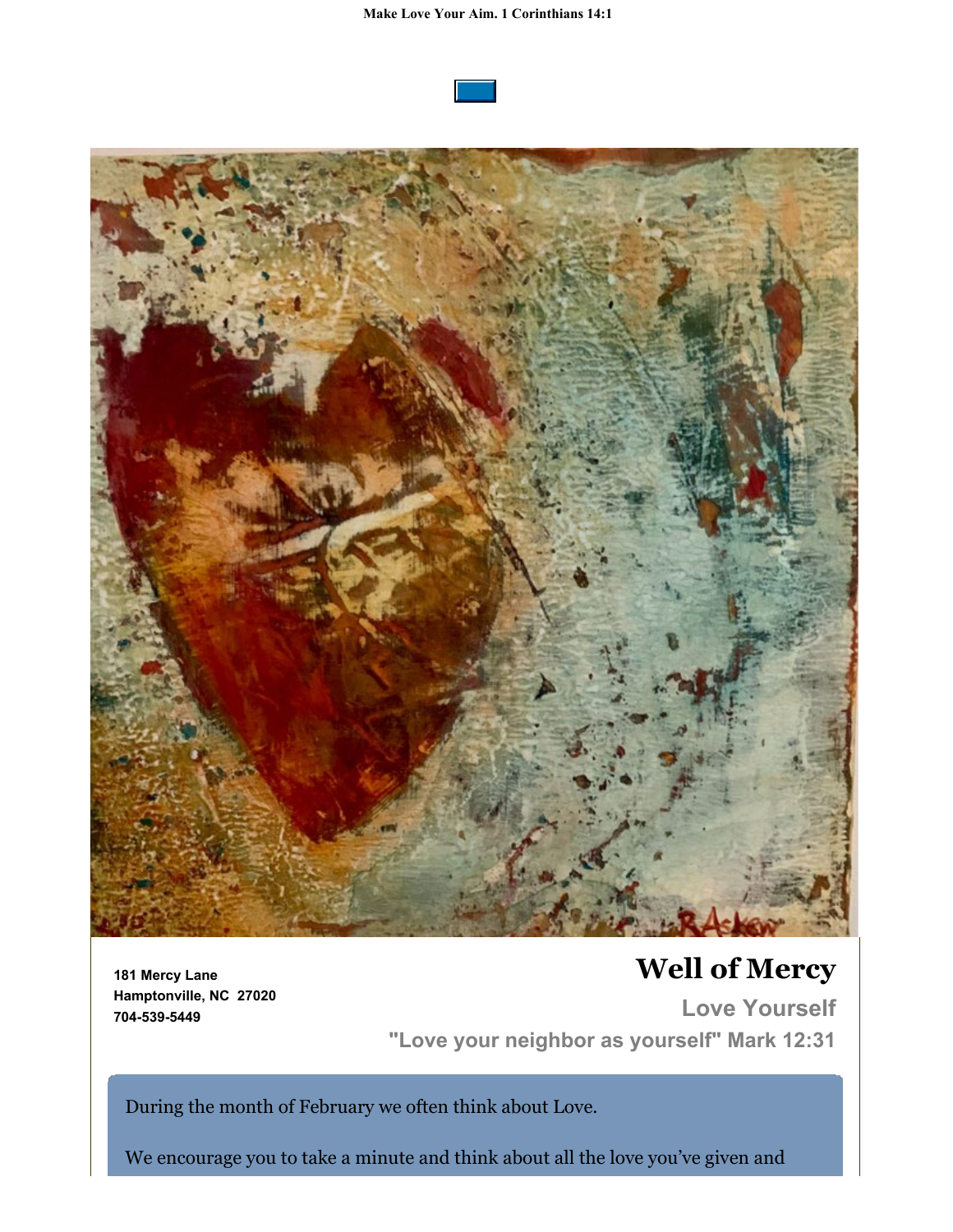



**181 Mercy Lane Hamptonville, NC 27020 704-539-5449**

# **Well of Mercy**

**Love Yourself "Love your neighbor as yourself" Mark 12:31**

During the month of February we often think about Love.

We encourage you to take a minute and think about all the love you've given and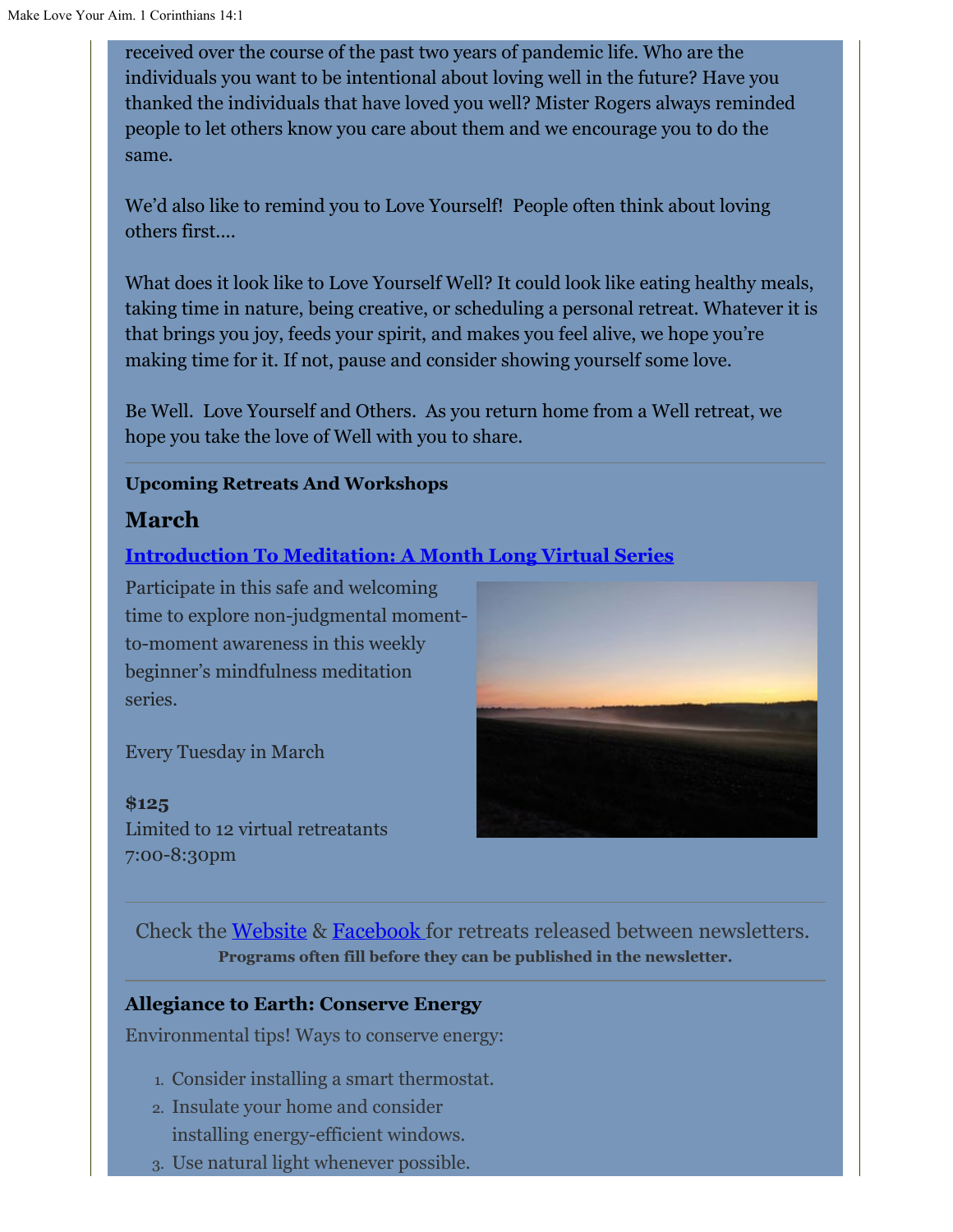received over the course of the past two years of pandemic life. Who are the individuals you want to be intentional about loving well in the future? Have you thanked the individuals that have loved you well? Mister Rogers always reminded people to let others know you care about them and we encourage you to do the same.

We'd also like to remind you to Love Yourself! People often think about loving others first....

What does it look like to Love Yourself Well? It could look like eating healthy meals, taking time in nature, being creative, or scheduling a personal retreat. Whatever it is that brings you joy, feeds your spirit, and makes you feel alive, we hope you're making time for it. If not, pause and consider showing yourself some love.

Be Well. Love Yourself and Others. As you return home from a Well retreat, we hope you take the love of Well with you to share.

#### **Upcoming Retreats And Workshops**

### **March**

### **[Introduction To Meditation: A Month Long Virtual Series](https://wellofmercy.networkforgood.com/events/38256-introduction-to-meditation-a-month-long-virtual-series)**

Participate in this safe and welcoming time to explore non-judgmental momentto-moment awareness in this weekly beginner's mindfulness meditation series.

Every Tuesday in March

#### **\$125**

Limited to 12 virtual retreatants 7:00-8:30pm



Check the [Website](https://wellofmercy.networkforgood.com/events/25374-well-of-mercy-2022-circles-retreats-workshops) & [Facebook](https://www.facebook.com/Well-of-Mercy-130256423691167) for retreats released between newsletters. **Programs often fill before they can be published in the newsletter.**

### **Allegiance to Earth: Conserve Energy**

Environmental tips! Ways to conserve energy:

- 1. Consider installing a smart thermostat.
- 2. Insulate your home and consider installing energy-efficient windows.
- 3. Use natural light whenever possible.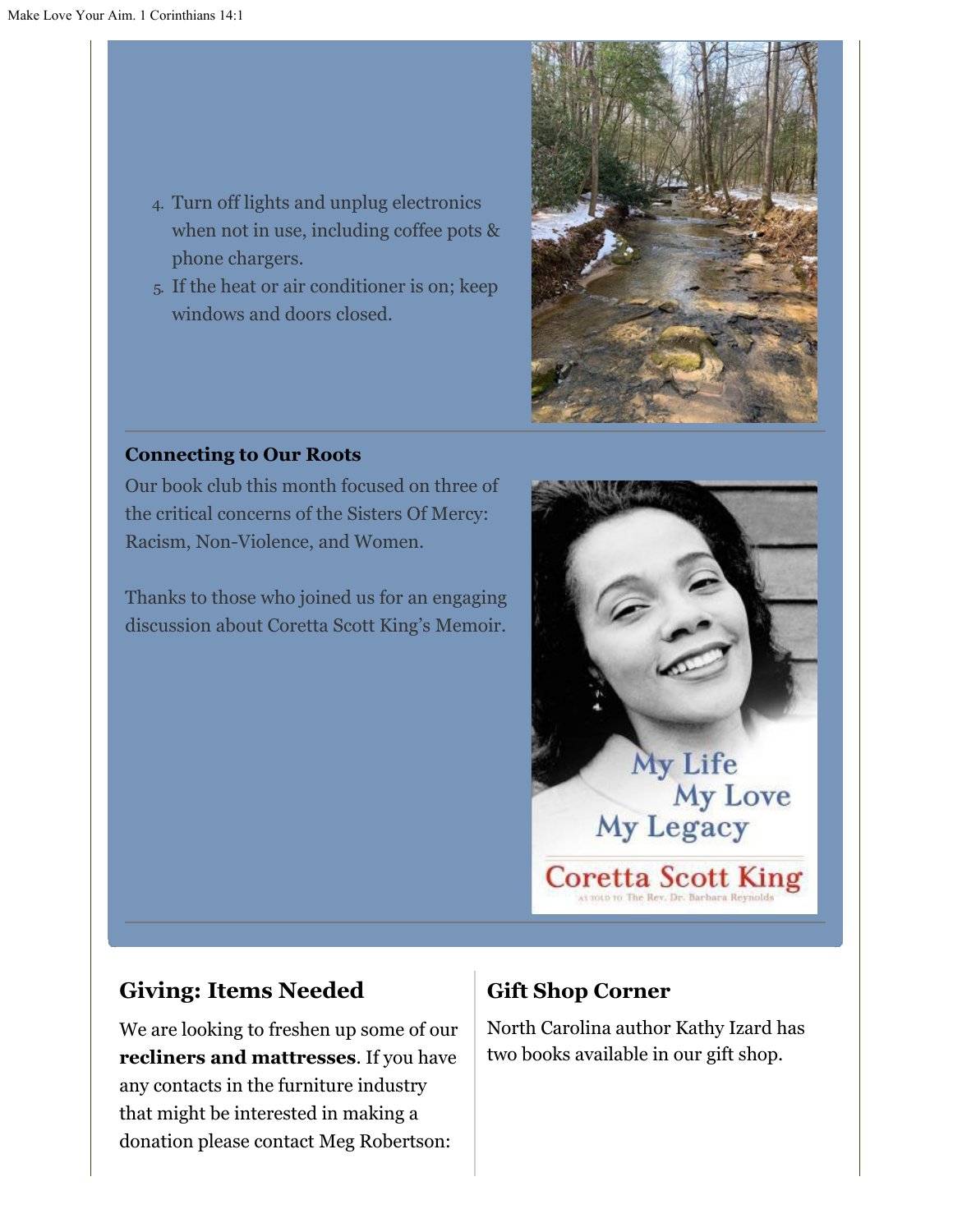- 4. Turn off lights and unplug electronics when not in use, including coffee pots & phone chargers.
- 5. If the heat or air conditioner is on; keep windows and doors closed.



#### **Connecting to Our Roots**

Our book club this month focused on three of the critical concerns of the Sisters Of Mercy: Racism, Non-Violence, and Women.

Thanks to those who joined us for an engaging discussion about Coretta Scott King's Memoir.



## **Giving: Items Needed**

We are looking to freshen up some of our **recliners and mattresses**. If you have any contacts in the furniture industry that might be interested in making a donation please contact Meg Robertson:

### **Gift Shop Corner**

North Carolina author Kathy Izard has two books available in our gift shop.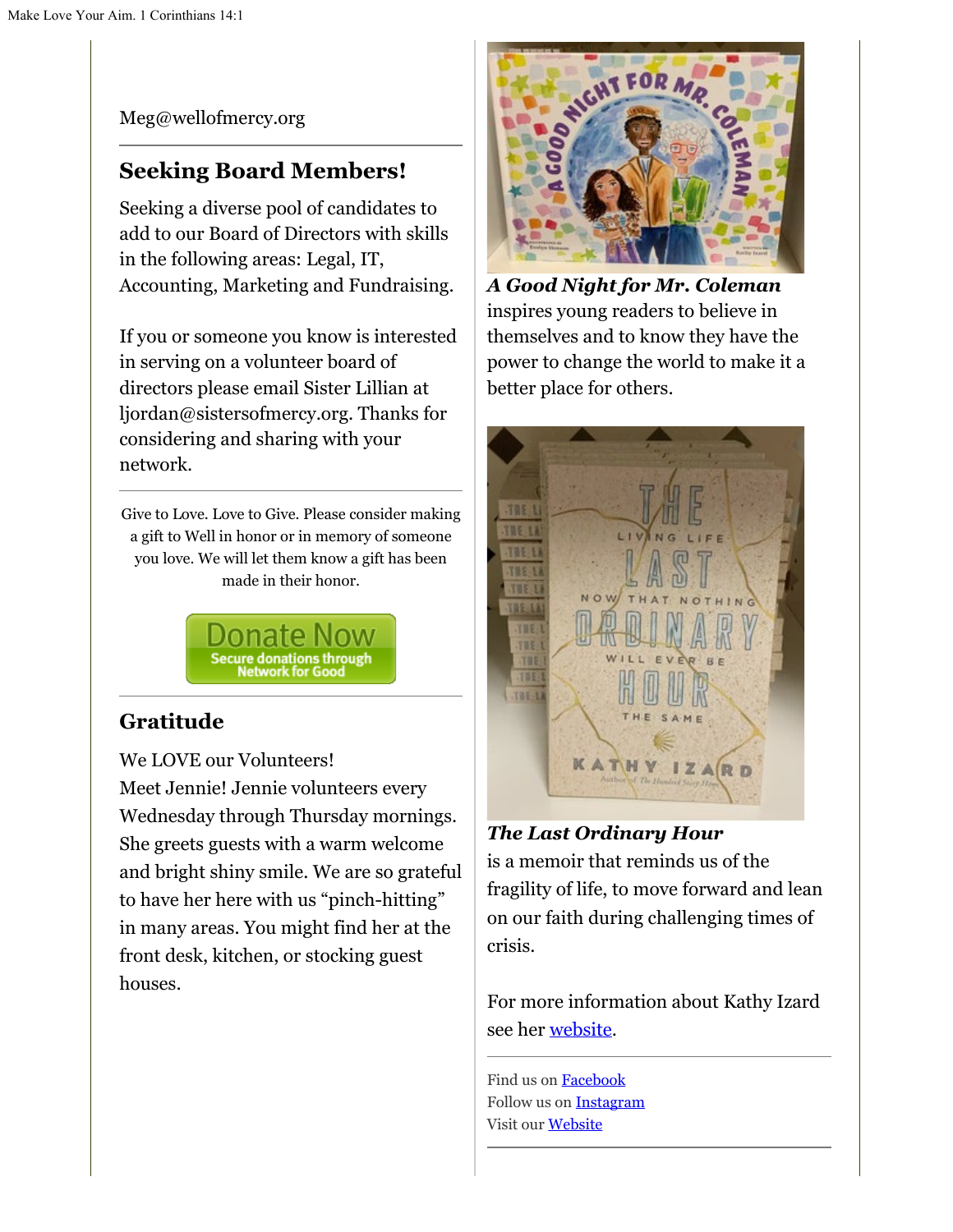Meg@wellofmercy.org

# **Seeking Board Members!**

Seeking a diverse pool of candidates to add to our Board of Directors with skills in the following areas: Legal, IT, Accounting, Marketing and Fundraising.

If you or someone you know is interested in serving on a volunteer board of directors please email Sister Lillian at ljordan@sistersofmercy.org. Thanks for considering and sharing with your network.

Give to Love. Love to Give. Please consider making a gift to Well in honor or in memory of someone you love. We will let them know a gift has been made in their honor.



# **Gratitude**

We LOVE our Volunteers!

Meet Jennie! Jennie volunteers every Wednesday through Thursday mornings. She greets guests with a warm welcome and bright shiny smile. We are so grateful to have her here with us "pinch-hitting" in many areas. You might find her at the front desk, kitchen, or stocking guest houses.



*A Good Night for Mr. Coleman* inspires young readers to believe in themselves and to know they have the power to change the world to make it a better place for others.



### *The Last Ordinary Hour*

is a memoir that reminds us of the fragility of life, to move forward and lean on our faith during challenging times of crisis.

For more information about Kathy Izard see her [website](https://www.kathyizard.com/).

Find us on [Facebook](https://www.facebook.com/Well-of-Mercy-130256423691167) Follow us on [Instagram](https://www.instagram.com/wellofmercy/) Visit our [Website](https://www.wellofmercy.org/)